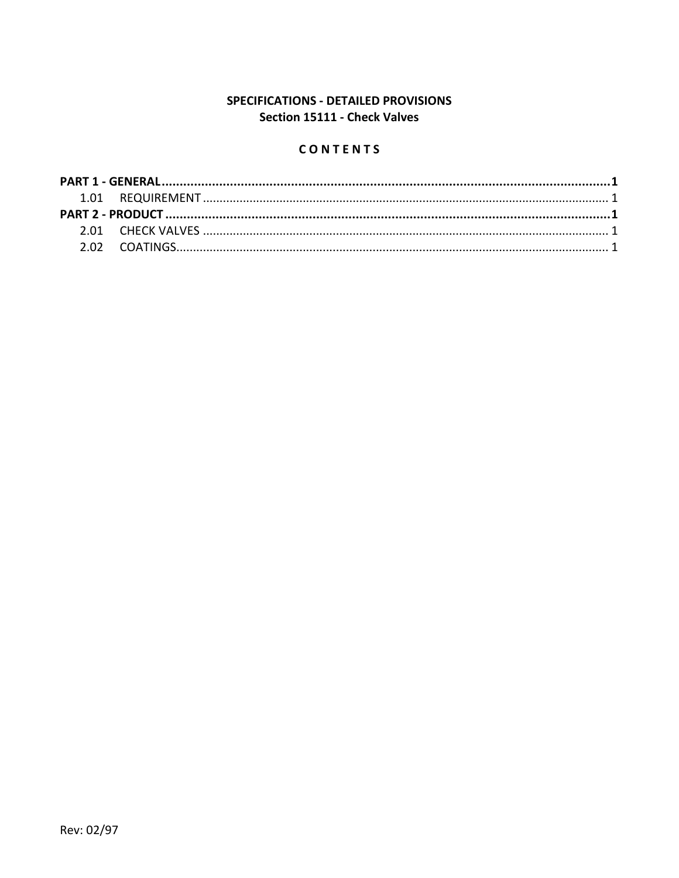# SPECIFICATIONS - DETAILED PROVISIONS Section 15111 - Check Valves

# CONTENTS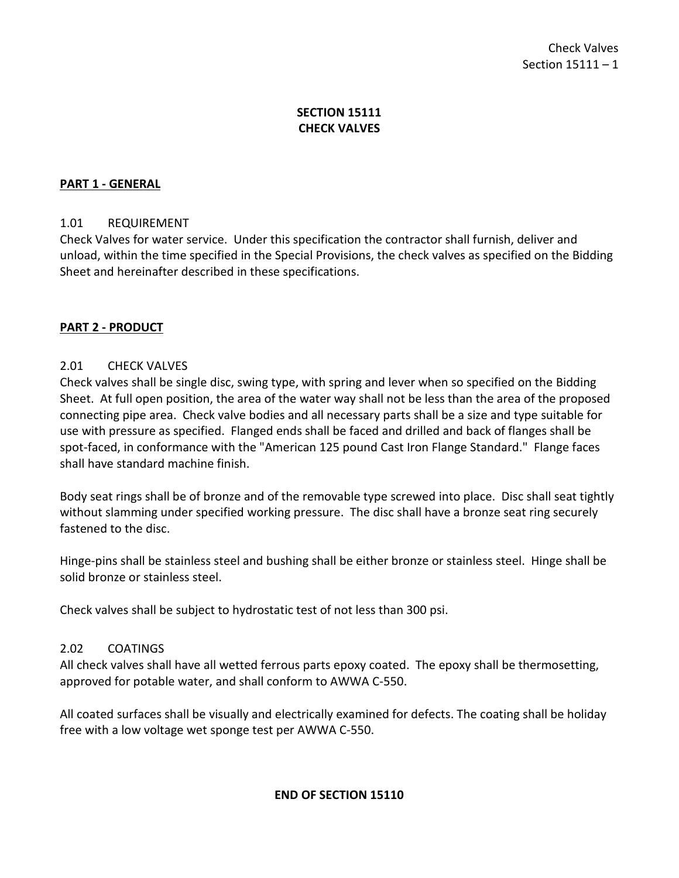## **SECTION 15111 CHECK VALVES**

### <span id="page-2-0"></span>**PART 1 - GENERAL**

#### <span id="page-2-1"></span>1.01 REQUIREMENT

Check Valves for water service. Under this specification the contractor shall furnish, deliver and unload, within the time specified in the Special Provisions, the check valves as specified on the Bidding Sheet and hereinafter described in these specifications.

#### <span id="page-2-2"></span>**PART 2 - PRODUCT**

#### <span id="page-2-3"></span>2.01 CHECK VALVES

Check valves shall be single disc, swing type, with spring and lever when so specified on the Bidding Sheet. At full open position, the area of the water way shall not be less than the area of the proposed connecting pipe area. Check valve bodies and all necessary parts shall be a size and type suitable for use with pressure as specified. Flanged ends shall be faced and drilled and back of flanges shall be spot-faced, in conformance with the "American 125 pound Cast Iron Flange Standard." Flange faces shall have standard machine finish.

Body seat rings shall be of bronze and of the removable type screwed into place. Disc shall seat tightly without slamming under specified working pressure. The disc shall have a bronze seat ring securely fastened to the disc.

Hinge-pins shall be stainless steel and bushing shall be either bronze or stainless steel. Hinge shall be solid bronze or stainless steel.

Check valves shall be subject to hydrostatic test of not less than 300 psi.

## <span id="page-2-4"></span>2.02 COATINGS

All check valves shall have all wetted ferrous parts epoxy coated. The epoxy shall be thermosetting, approved for potable water, and shall conform to AWWA C-550.

All coated surfaces shall be visually and electrically examined for defects. The coating shall be holiday free with a low voltage wet sponge test per AWWA C-550.

#### **END OF SECTION 15110**